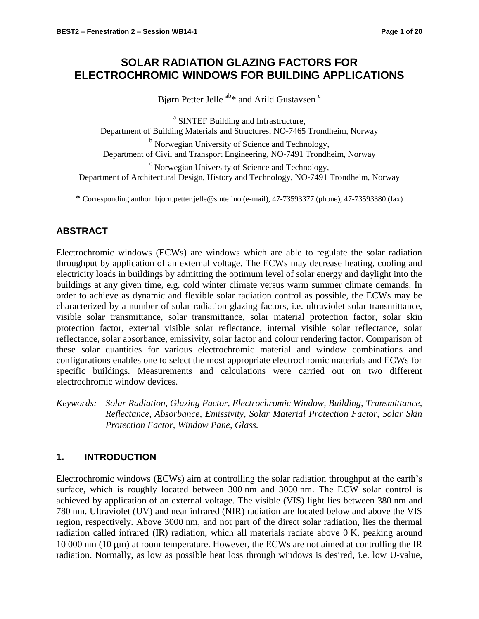# **SOLAR RADIATION GLAZING FACTORS FOR ELECTROCHROMIC WINDOWS FOR BUILDING APPLICATIONS**

Bjørn Petter Jelle  $a_{\text{b}}$  and Arild Gustavsen<sup>c</sup>

<sup>a</sup> SINTEF Building and Infrastructure, Department of Building Materials and Structures, NO-7465 Trondheim, Norway <sup>b</sup> Norwegian University of Science and Technology, Department of Civil and Transport Engineering, NO-7491 Trondheim, Norway <sup>c</sup> Norwegian University of Science and Technology, Department of Architectural Design, History and Technology, NO-7491 Trondheim, Norway

\* Corresponding author: bjorn.petter.jelle@sintef.no (e-mail), 47-73593377 (phone), 47-73593380 (fax)

# **ABSTRACT**

Electrochromic windows (ECWs) are windows which are able to regulate the solar radiation throughput by application of an external voltage. The ECWs may decrease heating, cooling and electricity loads in buildings by admitting the optimum level of solar energy and daylight into the buildings at any given time, e.g. cold winter climate versus warm summer climate demands. In order to achieve as dynamic and flexible solar radiation control as possible, the ECWs may be characterized by a number of solar radiation glazing factors, i.e. ultraviolet solar transmittance, visible solar transmittance, solar transmittance, solar material protection factor, solar skin protection factor, external visible solar reflectance, internal visible solar reflectance, solar reflectance, solar absorbance, emissivity, solar factor and colour rendering factor. Comparison of these solar quantities for various electrochromic material and window combinations and configurations enables one to select the most appropriate electrochromic materials and ECWs for specific buildings. Measurements and calculations were carried out on two different electrochromic window devices.

*Keywords: Solar Radiation, Glazing Factor, Electrochromic Window, Building, Transmittance, Reflectance, Absorbance, Emissivity, Solar Material Protection Factor, Solar Skin Protection Factor, Window Pane, Glass.*

# **1. INTRODUCTION**

Electrochromic windows (ECWs) aim at controlling the solar radiation throughput at the earth's surface, which is roughly located between 300 nm and 3000 nm. The ECW solar control is achieved by application of an external voltage. The visible (VIS) light lies between 380 nm and 780 nm. Ultraviolet (UV) and near infrared (NIR) radiation are located below and above the VIS region, respectively. Above 3000 nm, and not part of the direct solar radiation, lies the thermal radiation called infrared (IR) radiation, which all materials radiate above 0 K, peaking around 10 000 nm (10  $\mu$ m) at room temperature. However, the ECWs are not aimed at controlling the IR radiation. Normally, as low as possible heat loss through windows is desired, i.e. low U-value,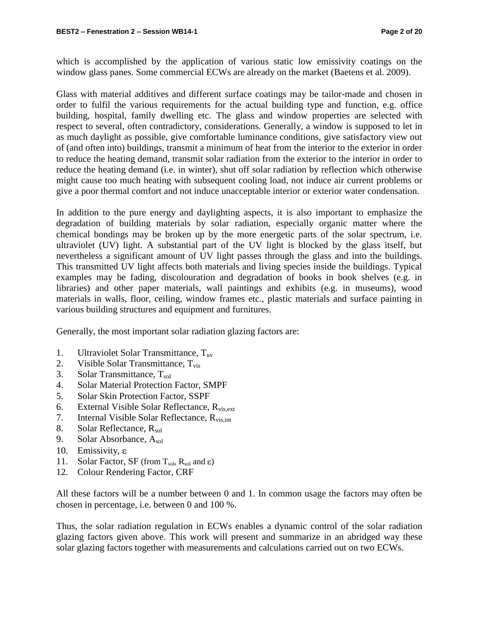which is accomplished by the application of various static low emissivity coatings on the window glass panes. Some commercial ECWs are already on the market (Baetens et al. 2009).

Glass with material additives and different surface coatings may be tailor-made and chosen in order to fulfil the various requirements for the actual building type and function, e.g. office building, hospital, family dwelling etc. The glass and window properties are selected with respect to several, often contradictory, considerations. Generally, a window is supposed to let in as much daylight as possible, give comfortable luminance conditions, give satisfactory view out of (and often into) buildings, transmit a minimum of heat from the interior to the exterior in order to reduce the heating demand, transmit solar radiation from the exterior to the interior in order to reduce the heating demand (i.e. in winter), shut off solar radiation by reflection which otherwise might cause too much heating with subsequent cooling load, not induce air current problems or give a poor thermal comfort and not induce unacceptable interior or exterior water condensation.

In addition to the pure energy and daylighting aspects, it is also important to emphasize the degradation of building materials by solar radiation, especially organic matter where the chemical bondings may be broken up by the more energetic parts of the solar spectrum, i.e. ultraviolet (UV) light. A substantial part of the UV light is blocked by the glass itself, but nevertheless a significant amount of UV light passes through the glass and into the buildings. This transmitted UV light affects both materials and living species inside the buildings. Typical examples may be fading, discolouration and degradation of books in book shelves (e.g. in libraries) and other paper materials, wall paintings and exhibits (e.g. in museums), wood materials in walls, floor, ceiling, window frames etc., plastic materials and surface painting in various building structures and equipment and furnitures.

Generally, the most important solar radiation glazing factors are:

- 1. Ultraviolet Solar Transmittance, Tuv
- 2. Visible Solar Transmittance,  $T_{vis}$
- 3. Solar Transmittance,  $T_{sol}$
- 4. Solar Material Protection Factor, SMPF
- 5. Solar Skin Protection Factor, SSPF
- 6. External Visible Solar Reflectance,  $R_{vis,ext}$
- 7. Internal Visible Solar Reflectance, Rvis,int
- 8. Solar Reflectance, R<sub>sol</sub>
- 9. Solar Absorbance, Asol
- 10. Emissivity,  $\varepsilon$
- 11. Solar Factor, SF (from  $T_{sol}$ ,  $R_{sol}$  and  $\varepsilon$ )
- 12. Colour Rendering Factor, CRF

All these factors will be a number between 0 and 1. In common usage the factors may often be chosen in percentage, i.e. between 0 and 100 %.

Thus, the solar radiation regulation in ECWs enables a dynamic control of the solar radiation glazing factors given above. This work will present and summarize in an abridged way these solar glazing factors together with measurements and calculations carried out on two ECWs.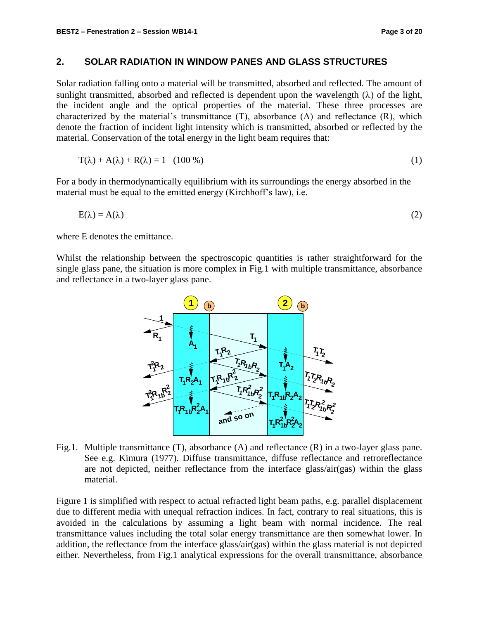## **2. SOLAR RADIATION IN WINDOW PANES AND GLASS STRUCTURES**

Solar radiation falling onto a material will be transmitted, absorbed and reflected. The amount of sunlight transmitted, absorbed and reflected is dependent upon the wavelength  $(\lambda)$  of the light, the incident angle and the optical properties of the material. These three processes are characterized by the material's transmittance (T), absorbance (A) and reflectance (R), which denote the fraction of incident light intensity which is transmitted, absorbed or reflected by the material. Conservation of the total energy in the light beam requires that:

$$
T(\lambda) + A(\lambda) + R(\lambda) = 1 \quad (100\%)
$$
 (1)

For a body in thermodynamically equilibrium with its surroundings the energy absorbed in the material must be equal to the emitted energy (Kirchhoff's law), i.e.

$$
E(\lambda) = A(\lambda) \tag{2}
$$

where E denotes the emittance.

Whilst the relationship between the spectroscopic quantities is rather straightforward for the single glass pane, the situation is more complex in Fig.1 with multiple transmittance, absorbance and reflectance in a two-layer glass pane.



Fig.1. Multiple transmittance (T), absorbance (A) and reflectance (R) in a two-layer glass pane. See e.g. Kimura (1977). Diffuse transmittance, diffuse reflectance and retroreflectance are not depicted, neither reflectance from the interface glass/air(gas) within the glass material.

Figure 1 is simplified with respect to actual refracted light beam paths, e.g. parallel displacement due to different media with unequal refraction indices. In fact, contrary to real situations, this is avoided in the calculations by assuming a light beam with normal incidence. The real transmittance values including the total solar energy transmittance are then somewhat lower. In addition, the reflectance from the interface glass/air(gas) within the glass material is not depicted either. Nevertheless, from Fig.1 analytical expressions for the overall transmittance, absorbance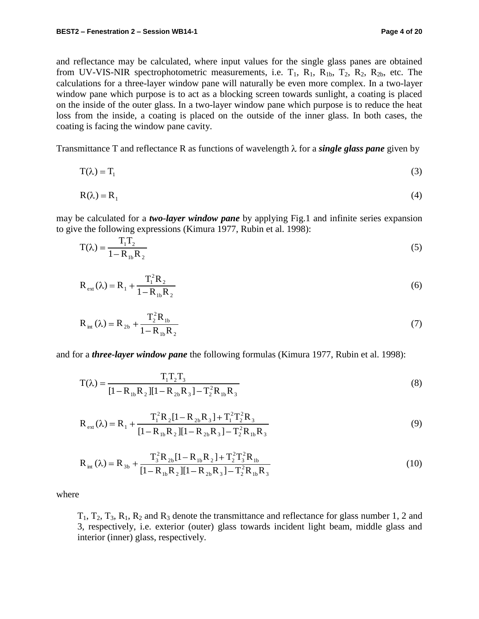and reflectance may be calculated, where input values for the single glass panes are obtained from UV-VIS-NIR spectrophotometric measurements, i.e.  $T_1$ ,  $R_1$ ,  $R_1$ ,  $T_2$ ,  $R_2$ ,  $R_2$ , etc. The calculations for a three-layer window pane will naturally be even more complex. In a two-layer window pane which purpose is to act as a blocking screen towards sunlight, a coating is placed on the inside of the outer glass. In a two-layer window pane which purpose is to reduce the heat loss from the inside, a coating is placed on the outside of the inner glass. In both cases, the coating is facing the window pane cavity.

Transmittance T and reflectance R as functions of wavelength  $\lambda$  for a *single glass pane* given by

$$
T(\lambda) = T_1 \tag{3}
$$

$$
R(\lambda) = R_1 \tag{4}
$$

may be calculated for a *two-layer window pane* by applying Fig.1 and infinite series expansion to give the following expressions (Kimura 1977, Rubin et al. 1998):

$$
T(\lambda) = \frac{T_1 T_2}{1 - R_{1b} R_2}
$$
 (5)

$$
R_{ext}(\lambda) = R_1 + \frac{T_1^2 R_2}{1 - R_{1b} R_2}
$$
 (6)

$$
R_{int} (\lambda) = R_{2b} + \frac{T_2^2 R_{1b}}{1 - R_{1b} R_2}
$$
 (7)

and for a *three-layer window pane* the following formulas (Kimura 1977, Rubin et al. 1998):

$$
T(\lambda) = \frac{T_1 T_2 T_3}{[1 - R_{1b} R_2][1 - R_{2b} R_3] - T_2^2 R_{1b} R_3}
$$
(8)

$$
R_{ext}(\lambda) = R_1 + \frac{T_1^2 R_2 [1 - R_{2b} R_3] + T_1^2 T_2^2 R_3}{[1 - R_{1b} R_2] [1 - R_{2b} R_3] - T_2^2 R_{1b} R_3}
$$
(9)

$$
R_{int}(\lambda) = R_{3b} + \frac{T_3^2 R_{2b} [1 - R_{1b} R_2] + T_2^2 T_3^2 R_{1b}}{[1 - R_{1b} R_2] [1 - R_{2b} R_3] - T_2^2 R_{1b} R_3}
$$
(10)

where

 $T_1, T_2, T_3, R_1, R_2$  and  $R_3$  denote the transmittance and reflectance for glass number 1, 2 and 3, respectively, i.e. exterior (outer) glass towards incident light beam, middle glass and interior (inner) glass, respectively.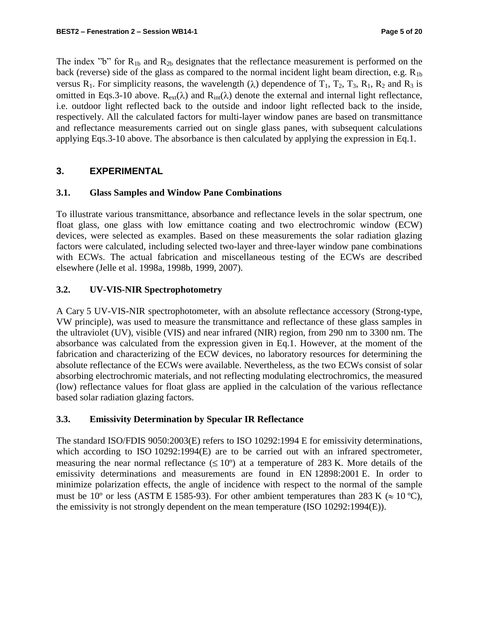The index "b" for  $R_{1b}$  and  $R_{2b}$  designates that the reflectance measurement is performed on the back (reverse) side of the glass as compared to the normal incident light beam direction, e.g.  $R_{1b}$ versus R<sub>1</sub>. For simplicity reasons, the wavelength ( $\lambda$ ) dependence of T<sub>1</sub>, T<sub>2</sub>, T<sub>3</sub>, R<sub>1</sub>, R<sub>2</sub> and R<sub>3</sub> is omitted in Eqs.3-10 above.  $R_{ext}(\lambda)$  and  $R_{int}(\lambda)$  denote the external and internal light reflectance, i.e. outdoor light reflected back to the outside and indoor light reflected back to the inside, respectively. All the calculated factors for multi-layer window panes are based on transmittance and reflectance measurements carried out on single glass panes, with subsequent calculations applying Eqs.3-10 above. The absorbance is then calculated by applying the expression in Eq.1.

## **3. EXPERIMENTAL**

## **3.1. Glass Samples and Window Pane Combinations**

To illustrate various transmittance, absorbance and reflectance levels in the solar spectrum, one float glass, one glass with low emittance coating and two electrochromic window (ECW) devices, were selected as examples. Based on these measurements the solar radiation glazing factors were calculated, including selected two-layer and three-layer window pane combinations with ECWs. The actual fabrication and miscellaneous testing of the ECWs are described elsewhere (Jelle et al. 1998a, 1998b, 1999, 2007).

## **3.2. UV-VIS-NIR Spectrophotometry**

A Cary 5 UV-VIS-NIR spectrophotometer, with an absolute reflectance accessory (Strong-type, VW principle), was used to measure the transmittance and reflectance of these glass samples in the ultraviolet (UV), visible (VIS) and near infrared (NIR) region, from 290 nm to 3300 nm. The absorbance was calculated from the expression given in Eq.1. However, at the moment of the fabrication and characterizing of the ECW devices, no laboratory resources for determining the absolute reflectance of the ECWs were available. Nevertheless, as the two ECWs consist of solar absorbing electrochromic materials, and not reflecting modulating electrochromics, the measured (low) reflectance values for float glass are applied in the calculation of the various reflectance based solar radiation glazing factors.

## **3.3. Emissivity Determination by Specular IR Reflectance**

The standard ISO/FDIS 9050:2003(E) refers to ISO 10292:1994 E for emissivity determinations, which according to ISO 10292:1994(E) are to be carried out with an infrared spectrometer, measuring the near normal reflectance  $(\leq 10^{\circ})$  at a temperature of 283 K. More details of the emissivity determinations and measurements are found in EN 12898:2001 E. In order to minimize polarization effects, the angle of incidence with respect to the normal of the sample must be 10<sup>o</sup> or less (ASTM E 1585-93). For other ambient temperatures than 283 K ( $\approx 10$  °C), the emissivity is not strongly dependent on the mean temperature (ISO 10292:1994(E)).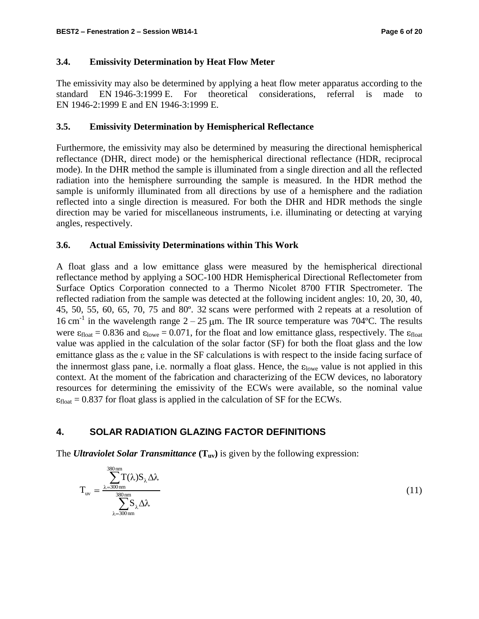## **3.4. Emissivity Determination by Heat Flow Meter**

The emissivity may also be determined by applying a heat flow meter apparatus according to the standard EN 1946-3:1999 E. For theoretical considerations, referral is made to EN 1946-2:1999 E and EN 1946-3:1999 E.

## **3.5. Emissivity Determination by Hemispherical Reflectance**

Furthermore, the emissivity may also be determined by measuring the directional hemispherical reflectance (DHR, direct mode) or the hemispherical directional reflectance (HDR, reciprocal mode). In the DHR method the sample is illuminated from a single direction and all the reflected radiation into the hemisphere surrounding the sample is measured. In the HDR method the sample is uniformly illuminated from all directions by use of a hemisphere and the radiation reflected into a single direction is measured. For both the DHR and HDR methods the single direction may be varied for miscellaneous instruments, i.e. illuminating or detecting at varying angles, respectively.

## **3.6. Actual Emissivity Determinations within This Work**

A float glass and a low emittance glass were measured by the hemispherical directional reflectance method by applying a SOC-100 HDR Hemispherical Directional Reflectometer from Surface Optics Corporation connected to a Thermo Nicolet 8700 FTIR Spectrometer. The reflected radiation from the sample was detected at the following incident angles: 10, 20, 30, 40, 45, 50, 55, 60, 65, 70, 75 and 80º. 32 scans were performed with 2 repeats at a resolution of 16 cm<sup>-1</sup> in the wavelength range  $2 - 25$  µm. The IR source temperature was 704°C. The results were  $\epsilon_{\text{float}} = 0.836$  and  $\epsilon_{\text{lowe}} = 0.071$ , for the float and low emittance glass, respectively. The  $\epsilon_{\text{float}}$ value was applied in the calculation of the solar factor (SF) for both the float glass and the low emittance glass as the  $\varepsilon$  value in the SF calculations is with respect to the inside facing surface of the innermost glass pane, i.e. normally a float glass. Hence, the  $\varepsilon_{\text{low}}$  value is not applied in this context. At the moment of the fabrication and characterizing of the ECW devices, no laboratory resources for determining the emissivity of the ECWs were available, so the nominal value  $\varepsilon_{\text{float}} = 0.837$  for float glass is applied in the calculation of SF for the ECWs.

## **4. SOLAR RADIATION GLAZING FACTOR DEFINITIONS**

The *Ultraviolet Solar Transmittance* **(Tuv)** is given by the following expression:

$$
T_{uv} = \frac{\sum_{\lambda=300\,\mathrm{nm}}^{380\,\mathrm{nm}} T(\lambda) S_{\lambda} \Delta \lambda}{\sum_{\lambda=300\,\mathrm{nm}}^{380\,\mathrm{nm}} S_{\lambda} \Delta \lambda}
$$
(11)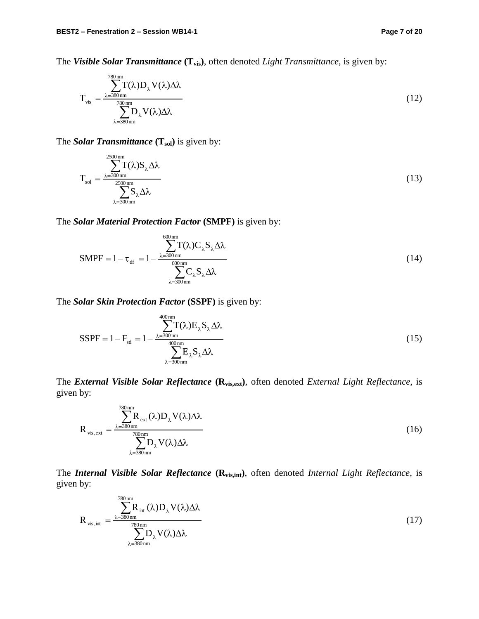The *Visible Solar Transmittance* **(Tvis)**, often denoted *Light Transmittance*, is given by:

$$
T_{\rm vis} = \frac{\sum_{\lambda=380\,\rm nm}^{780\,\rm nm}}{\sum_{\lambda=380\,\rm nm}^{780\,\rm nm}} D_{\lambda} V(\lambda) \Delta \lambda \tag{12}
$$

The *Solar Transmittance* (T<sub>sol</sub>) is given by:

$$
T_{sol} = \frac{\sum_{\lambda=300\,\mathrm{nm}}^{2500\,\mathrm{nm}} T(\lambda) S_{\lambda} \Delta \lambda}{\sum_{\lambda=300\,\mathrm{nm}}^{2500\,\mathrm{nm}} S_{\lambda} \Delta \lambda}
$$
(13)

The *Solar Material Protection Factor* **(SMPF)** is given by:

$$
SMPF = 1 - \tau_{df} = 1 - \frac{\sum_{\lambda=300\,\text{nm}}^{600\,\text{nm}} T(\lambda) C_{\lambda} S_{\lambda} \Delta \lambda}{\sum_{\lambda=300\,\text{nm}}^{600\,\text{nm}} C_{\lambda} S_{\lambda} \Delta \lambda}
$$
(14)

The *Solar Skin Protection Factor* **(SSPF)** is given by:

$$
SSPF = 1 - F_{sd} = 1 - \frac{\sum_{\lambda=300 \text{nm}}^{400 \text{nm}} T(\lambda) E_{\lambda} S_{\lambda} \Delta \lambda}{\sum_{\lambda=300 \text{nm}}^{400 \text{nm}} E_{\lambda} S_{\lambda} \Delta \lambda}
$$
(15)

The *External Visible Solar Reflectance* **(Rvis,ext)**, often denoted *External Light Reflectance*, is given by:

$$
R_{\text{vis,ext}} = \frac{\sum_{\lambda=380\text{nm}}^{780\text{nm}} R_{\text{ext}}(\lambda) D_{\lambda} V(\lambda) \Delta \lambda}{\sum_{\lambda=380\text{nm}}^{780\text{nm}} D_{\lambda} V(\lambda) \Delta \lambda}
$$
(16)

The *Internal Visible Solar Reflectance* **(Rvis,int)**, often denoted *Internal Light Reflectance*, is given by:

$$
R_{\text{vis, int}} = \frac{\sum_{\lambda=380\text{nm}}^{780\text{nm}} R_{\text{int}}(\lambda) D_{\lambda} V(\lambda) \Delta \lambda}{\sum_{\lambda=380\text{nm}}^{780\text{nm}} D_{\lambda} V(\lambda) \Delta \lambda}
$$
(17)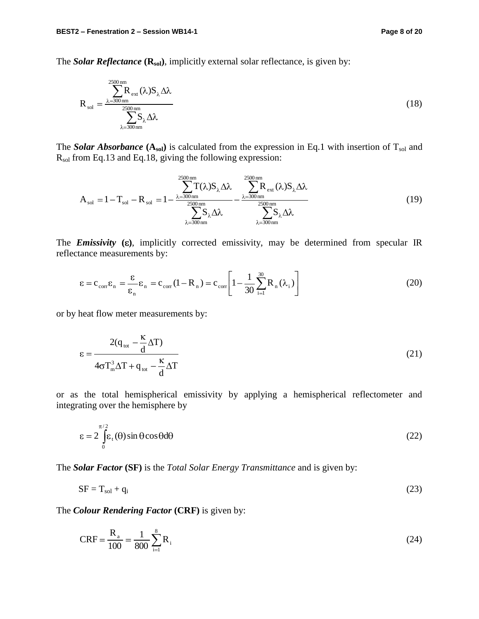The *Solar Reflectance* ( $\mathbf{R}_{sol}$ ), implicitly external solar reflectance, is given by:

$$
R_{sol} = \frac{\sum_{\lambda=300\,\mathrm{nm}}^{2500\,\mathrm{nm}} R_{\mathrm{ext}}(\lambda) S_{\lambda} \Delta \lambda}{\sum_{\lambda=300\,\mathrm{nm}}^{2500\,\mathrm{nm}} S_{\lambda} \Delta \lambda}
$$
(18)

The *Solar Absorbance*  $(A_{sol})$  is calculated from the expression in Eq.1 with insertion of  $T_{sol}$  and Rsol from Eq.13 and Eq.18, giving the following expression:

$$
A_{sol} = 1 - T_{sol} - R_{sol} = 1 - \frac{\sum_{\lambda=300\,\mathrm{nm}}^{2500\,\mathrm{nm}} T(\lambda) S_{\lambda} \Delta \lambda}{\sum_{\lambda=300\,\mathrm{nm}}^{2500\,\mathrm{nm}} - \frac{\sum_{\lambda=300\,\mathrm{nm}}^{2500\,\mathrm{nm}} R_{\text{ext}}(\lambda) S_{\lambda} \Delta \lambda}{\sum_{\lambda=300\,\mathrm{nm}}^{2500\,\mathrm{nm}}}
$$
(19)

The *Emissivity* ( $\varepsilon$ ), implicitly corrected emissivity, may be determined from specular IR reflectance measurements by:

$$
\varepsilon = c_{\text{corr}} \varepsilon_{\text{n}} = \frac{\varepsilon}{\varepsilon_{\text{n}}} \varepsilon_{\text{n}} = c_{\text{corr}} (1 - R_{\text{n}}) = c_{\text{corr}} \left[ 1 - \frac{1}{30} \sum_{i=1}^{30} R_{\text{n}} (\lambda_i) \right]
$$
(20)

or by heat flow meter measurements by:

$$
\varepsilon = \frac{2(q_{\text{tot}} - \frac{\kappa}{d}\Delta T)}{4\sigma T_{\text{m}}^3 \Delta T + q_{\text{tot}} - \frac{\kappa}{d}\Delta T}
$$
(21)

or as the total hemispherical emissivity by applying a hemispherical reflectometer and integrating over the hemisphere by

$$
\varepsilon = 2 \int_{0}^{\pi/2} \varepsilon_{t}(\theta) \sin \theta \cos \theta d\theta
$$
 (22)

The *Solar Factor* **(SF)** is the *Total Solar Energy Transmittance* and is given by:

$$
SF = T_{sol} + q_i \tag{23}
$$

The *Colour Rendering Factor* **(CRF)** is given by:

$$
CRF = \frac{R_a}{100} = \frac{1}{800} \sum_{i=1}^{8} R_i
$$
 (24)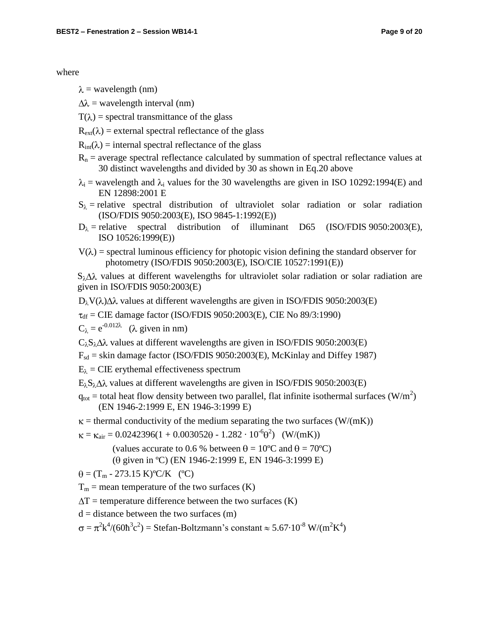#### where

- $\lambda$  = wavelength (nm)
- $\Delta\lambda$  = wavelength interval (nm)
- $T(\lambda)$  = spectral transmittance of the glass
- $R_{ext}(\lambda)$  = external spectral reflectance of the glass
- $R_{int}(\lambda)$  = internal spectral reflectance of the glass
- $R_n$  = average spectral reflectance calculated by summation of spectral reflectance values at 30 distinct wavelengths and divided by 30 as shown in Eq.20 above
- $\lambda_i$  = wavelength and  $\lambda_i$  values for the 30 wavelengths are given in ISO 10292:1994(E) and EN 12898:2001 E
- $S_{\lambda}$  = relative spectral distribution of ultraviolet solar radiation or solar radiation (ISO/FDIS 9050:2003(E), ISO 9845-1:1992(E))
- $D_{\lambda}$  = relative spectral distribution of illuminant D65 (ISO/FDIS 9050:2003(E), ISO 10526:1999(E))
- $V(\lambda)$  = spectral luminous efficiency for photopic vision defining the standard observer for photometry (ISO/FDIS 9050:2003(E), ISO/CIE 10527:1991(E))

 $S_{\lambda}\Delta\lambda$  values at different wavelengths for ultraviolet solar radiation or solar radiation are given in ISO/FDIS 9050:2003(E)

 $D_{\lambda}V(\lambda)\Delta\lambda$  values at different wavelengths are given in ISO/FDIS 9050:2003(E)

 $\tau_{df} = CIE$  damage factor (ISO/FDIS 9050:2003(E), CIE No 89/3:1990)

 $C_{\lambda} = e^{-0.012\lambda}$  ( $\lambda$  given in nm)

 $C_{\lambda} S_{\lambda} \Delta \lambda$  values at different wavelengths are given in ISO/FDIS 9050:2003(E)

- $F_{sd}$  = skin damage factor (ISO/FDIS 9050:2003(E), McKinlay and Diffey 1987)
- $E_{\lambda}$  = CIE erythemal effectiveness spectrum
- $E_{\lambda}S_{\lambda}\Delta\lambda$  values at different wavelengths are given in ISO/FDIS 9050:2003(E)
- $q_{\text{tot}}$  = total heat flow density between two parallel, flat infinite isothermal surfaces (W/m<sup>2</sup>) (EN 1946-2:1999 E, EN 1946-3:1999 E)
- $\kappa$  = thermal conductivity of the medium separating the two surfaces (W/(mK))
- $= \kappa_{\text{air}} = 0.0242396(1 + 0.003052\theta 1.282 \cdot 10^{-6}\theta^2)$  (W/(mK))

(values accurate to 0.6 % between  $\theta = 10^{\circ}C$  and  $\theta = 70^{\circ}C$ )

( given in ºC) (EN 1946-2:1999 E, EN 1946-3:1999 E)

 $\theta = (T_m - 273.15 \text{ K})^{\circ}\text{C/K}$  (°C)

 $T_m$  = mean temperature of the two surfaces (K)

 $\Delta T$  = temperature difference between the two surfaces (K)

 $d = distance between the two surfaces (m)$ 

 $=\pi^2 k^4/(60 \hbar^3 c^2)$  = Stefan-Boltzmann's constant  $\approx 5.67 \cdot 10^{-8}$  W/(m<sup>2</sup>K<sup>4</sup>)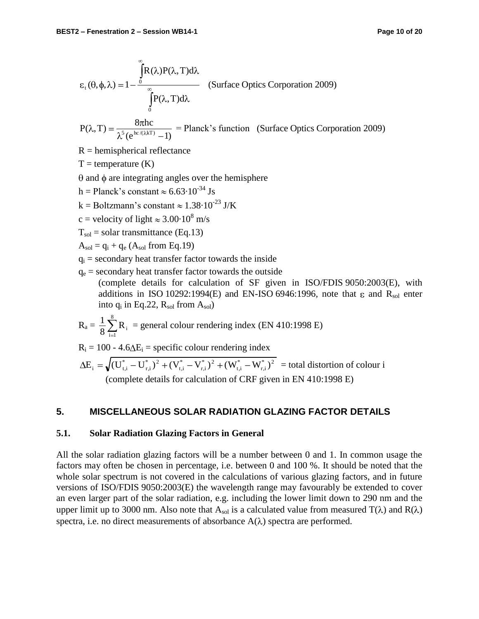$$
\varepsilon_{t}(\theta, \phi, \lambda) = 1 - \frac{\int_{0}^{\infty} R(\lambda)P(\lambda, T)d\lambda}{\int_{0}^{\infty} P(\lambda, T)d\lambda}
$$
 (Surface Optics Corporation 2009)

 $(e^{hc/(KkT)}-1)$  $P(\lambda, T) = \frac{8\pi\hbar c}{\lambda^5 (6\hbar c/(\lambda kT)-1)}$  = Planck's function (Surface Optics Corporation 2009)

 $R =$  hemispherical reflectance

 $T =$  temperature  $(K)$ 

 $\theta$  and  $\phi$  are integrating angles over the hemisphere

h = Planck's constant  $\approx 6.63 \cdot 10^{-34}$  Js

k = Boltzmann's constant  $\approx 1.38 \cdot 10^{-23}$  J/K

c = velocity of light  $\approx 3.00 \cdot 10^8$  m/s

 $T_{sol}$  = solar transmittance (Eq.13)

 $A_{sol} = q_i + q_e (A_{sol}$  from Eq.19)

 $q_i$  = secondary heat transfer factor towards the inside

 $q_e$  = secondary heat transfer factor towards the outside (complete details for calculation of SF given in ISO/FDIS 9050:2003(E), with additions in ISO 10292:1994(E) and EN-ISO 6946:1996, note that  $\varepsilon$  and  $R_{sol}$  enter into  $q_i$  in Eq.22,  $R_{sol}$  from  $A_{sol}$ )

$$
R_a = \frac{1}{8} \sum_{i=1}^{8} R_i
$$
 = general colour rendering index (EN 410:1998 E)

 $R_i = 100 - 4.6\Delta E_i$  = specific colour rendering index

 $*$   $\lambda^2$ r,i \* t,i  $*$   $\lambda^2$ r,i \* t,i \*  $\sqrt{2}$ r,i  $E_i = \sqrt{(U_{t,i}^* - U_{r,i}^*)^2 + (V_{t,i}^* - V_{r,i}^*)^2 + (W_{t,i}^* - W_{r,i}^*)^2}$  = total distortion of colour i (complete details for calculation of CRF given in EN 410:1998 E)

#### **5. MISCELLANEOUS SOLAR RADIATION GLAZING FACTOR DETAILS**

#### **5.1. Solar Radiation Glazing Factors in General**

All the solar radiation glazing factors will be a number between 0 and 1. In common usage the factors may often be chosen in percentage, i.e. between 0 and 100 %. It should be noted that the whole solar spectrum is not covered in the calculations of various glazing factors, and in future versions of ISO/FDIS 9050:2003(E) the wavelength range may favourably be extended to cover an even larger part of the solar radiation, e.g. including the lower limit down to 290 nm and the upper limit up to 3000 nm. Also note that  $A_{sol}$  is a calculated value from measured  $T(\lambda)$  and  $R(\lambda)$ spectra, i.e. no direct measurements of absorbance  $A(\lambda)$  spectra are performed.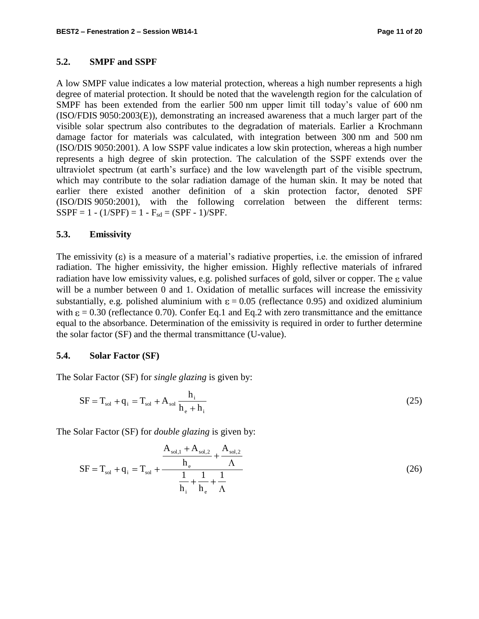#### **5.2. SMPF and SSPF**

A low SMPF value indicates a low material protection, whereas a high number represents a high degree of material protection. It should be noted that the wavelength region for the calculation of SMPF has been extended from the earlier 500 nm upper limit till today's value of 600 nm (ISO/FDIS 9050:2003(E)), demonstrating an increased awareness that a much larger part of the visible solar spectrum also contributes to the degradation of materials. Earlier a Krochmann damage factor for materials was calculated, with integration between 300 nm and 500 nm (ISO/DIS 9050:2001). A low SSPF value indicates a low skin protection, whereas a high number represents a high degree of skin protection. The calculation of the SSPF extends over the ultraviolet spectrum (at earth's surface) and the low wavelength part of the visible spectrum, which may contribute to the solar radiation damage of the human skin. It may be noted that earlier there existed another definition of a skin protection factor, denoted SPF (ISO/DIS 9050:2001), with the following correlation between the different terms:  $SSPF = 1 - (1/SPF) = 1 - F_{sd} = (SPF - 1)/SPF.$ 

#### **5.3. Emissivity**

The emissivity  $(\epsilon)$  is a measure of a material's radiative properties, i.e. the emission of infrared radiation. The higher emissivity, the higher emission. Highly reflective materials of infrared radiation have low emissivity values, e.g. polished surfaces of gold, silver or copper. The  $\varepsilon$  value will be a number between 0 and 1. Oxidation of metallic surfaces will increase the emissivity substantially, e.g. polished aluminium with  $\varepsilon = 0.05$  (reflectance 0.95) and oxidized aluminium with  $\epsilon$  = 0.30 (reflectance 0.70). Confer Eq.1 and Eq.2 with zero transmittance and the emittance equal to the absorbance. Determination of the emissivity is required in order to further determine the solar factor (SF) and the thermal transmittance (U-value).

#### **5.4. Solar Factor (SF)**

The Solar Factor (SF) for *single glazing* is given by:

$$
SF = Tsol + qi = Tsol + Asol \frac{hi}{he + hi}
$$
 (25)

The Solar Factor (SF) for *double glazing* is given by:

$$
SF = T_{sol} + q_{i} = T_{sol} + \frac{\frac{A_{sol,1} + A_{sol,2}}{h_{e}} + \frac{A_{sol,2}}{\Lambda}}{\frac{1}{h_{i}} + \frac{1}{h_{e}} + \frac{1}{\Lambda}}
$$
(26)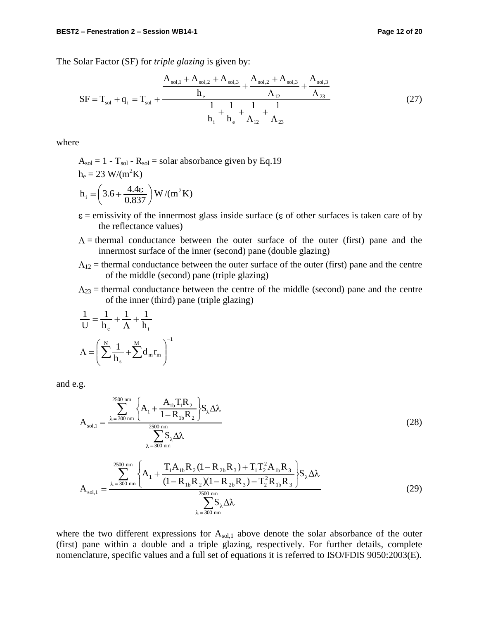The Solar Factor (SF) for *triple glazing* is given by:

$$
SF = T_{sol} + q_{i} = T_{sol} + \frac{A_{sol,1} + A_{sol,2} + A_{sol,3}}{h_{i}} + \frac{A_{sol,2} + A_{sol,3}}{\Lambda_{12}} + \frac{A_{sol,3}}{\Lambda_{23}} + \frac{A_{sol,3}}{\Lambda_{23}}
$$
(27)

where

- $A_{sol} = 1 T_{sol} R_{sol} =$  solar absorbance given by Eq.19  $h_e = 23$  W/(m<sup>2</sup>K)  $W/(m^2K)$ 0.837  $h_i = 3.6 + \frac{4.4\epsilon}{0.937} W/(m^2)$ i
- $\varepsilon$  = emissivity of the innermost glass inside surface ( $\varepsilon$  of other surfaces is taken care of by the reflectance values)
- $\Lambda$  = thermal conductance between the outer surface of the outer (first) pane and the innermost surface of the inner (second) pane (double glazing)
- $\Lambda_{12}$  = thermal conductance between the outer surface of the outer (first) pane and the centre of the middle (second) pane (triple glazing)
- $\Lambda_{23}$  = thermal conductance between the centre of the middle (second) pane and the centre of the inner (third) pane (triple glazing)

$$
\frac{1}{U} = \frac{1}{h_e} + \frac{1}{\Lambda} + \frac{1}{h_i}
$$

$$
\Lambda = \left(\sum_{k=1}^{N} \frac{1}{h_s} + \sum_{k=1}^{M} d_m r_m\right)^{-1}
$$

and e.g.

$$
A_{sol,1} = \frac{\sum_{\lambda=300 \text{ nm}}^{2500 \text{ nm}} \left\{ A_1 + \frac{A_{1b} T_1 R_2}{1 - R_{1b} R_2} \right\} S_{\lambda} \Delta \lambda}{\sum_{\lambda=300 \text{ nm}}^{2500 \text{ nm}} S_{\lambda} \Delta \lambda}
$$
(28)

$$
A_{sol,1} = \frac{{}^{2500 \text{ nm}}}{\lambda} \left\{ A_1 + \frac{T_1 A_{1b} R_2 (1 - R_{2b} R_3) + T_1 T_2^2 A_{1b} R_3}{(1 - R_{1b} R_2)(1 - R_{2b} R_3) - T_2^2 R_{1b} R_3} \right\} S_\lambda \Delta \lambda
$$
  

$$
\sum_{\lambda = 300 \text{ nm}}^{2500 \text{ nm}} S_\lambda \Delta \lambda
$$
 (29)

where the two different expressions for  $A_{sol,1}$  above denote the solar absorbance of the outer (first) pane within a double and a triple glazing, respectively. For further details, complete nomenclature, specific values and a full set of equations it is referred to ISO/FDIS 9050:2003(E).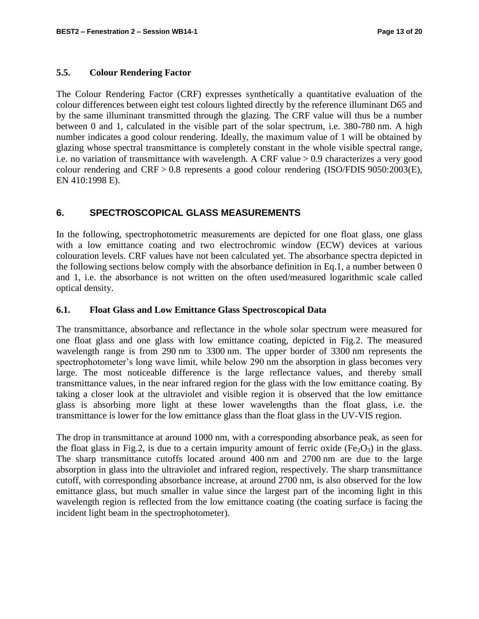#### **5.5. Colour Rendering Factor**

The Colour Rendering Factor (CRF) expresses synthetically a quantitative evaluation of the colour differences between eight test colours lighted directly by the reference illuminant D65 and by the same illuminant transmitted through the glazing. The CRF value will thus be a number between 0 and 1, calculated in the visible part of the solar spectrum, i.e. 380-780 nm. A high number indicates a good colour rendering. Ideally, the maximum value of 1 will be obtained by glazing whose spectral transmittance is completely constant in the whole visible spectral range, i.e. no variation of transmittance with wavelength. A CRF value > 0.9 characterizes a very good colour rendering and CRF > 0.8 represents a good colour rendering (ISO/FDIS 9050:2003(E), EN 410:1998 E).

## **6. SPECTROSCOPICAL GLASS MEASUREMENTS**

In the following, spectrophotometric measurements are depicted for one float glass, one glass with a low emittance coating and two electrochromic window (ECW) devices at various colouration levels. CRF values have not been calculated yet. The absorbance spectra depicted in the following sections below comply with the absorbance definition in Eq.1, a number between 0 and 1, i.e. the absorbance is not written on the often used/measured logarithmic scale called optical density.

#### **6.1. Float Glass and Low Emittance Glass Spectroscopical Data**

The transmittance, absorbance and reflectance in the whole solar spectrum were measured for one float glass and one glass with low emittance coating, depicted in Fig.2. The measured wavelength range is from 290 nm to 3300 nm. The upper border of 3300 nm represents the spectrophotometer's long wave limit, while below 290 nm the absorption in glass becomes very large. The most noticeable difference is the large reflectance values, and thereby small transmittance values, in the near infrared region for the glass with the low emittance coating. By taking a closer look at the ultraviolet and visible region it is observed that the low emittance glass is absorbing more light at these lower wavelengths than the float glass, i.e. the transmittance is lower for the low emittance glass than the float glass in the UV-VIS region.

The drop in transmittance at around 1000 nm, with a corresponding absorbance peak, as seen for the float glass in Fig.2, is due to a certain impurity amount of ferric oxide (Fe<sub>2</sub>O<sub>3</sub>) in the glass. The sharp transmittance cutoffs located around 400 nm and 2700 nm are due to the large absorption in glass into the ultraviolet and infrared region, respectively. The sharp transmittance cutoff, with corresponding absorbance increase, at around 2700 nm, is also observed for the low emittance glass, but much smaller in value since the largest part of the incoming light in this wavelength region is reflected from the low emittance coating (the coating surface is facing the incident light beam in the spectrophotometer).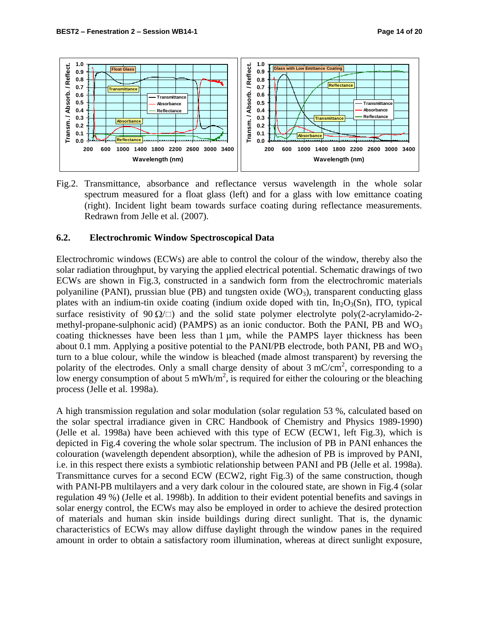

Fig.2. Transmittance, absorbance and reflectance versus wavelength in the whole solar spectrum measured for a float glass (left) and for a glass with low emittance coating (right). Incident light beam towards surface coating during reflectance measurements. Redrawn from Jelle et al. (2007).

#### **6.2. Electrochromic Window Spectroscopical Data**

Electrochromic windows (ECWs) are able to control the colour of the window, thereby also the solar radiation throughput, by varying the applied electrical potential. Schematic drawings of two ECWs are shown in Fig.3, constructed in a sandwich form from the electrochromic materials polyaniline (PANI), prussian blue (PB) and tungsten oxide  $(WO_3)$ , transparent conducting glass plates with an indium-tin oxide coating (indium oxide doped with tin,  $In_2O_3(Sn)$ , ITO, typical surface resistivity of 90  $\Omega/\square$ ) and the solid state polymer electrolyte poly(2-acrylamido-2methyl-propane-sulphonic acid) (PAMPS) as an ionic conductor. Both the PANI, PB and  $WO<sub>3</sub>$ coating thicknesses have been less than 1 µm, while the PAMPS layer thickness has been about 0.1 mm. Applying a positive potential to the PANI/PB electrode, both PANI, PB and  $WO_3$ turn to a blue colour, while the window is bleached (made almost transparent) by reversing the polarity of the electrodes. Only a small charge density of about  $3 \text{ mC/cm}^2$ , corresponding to a low energy consumption of about 5 mWh/m<sup>2</sup>, is required for either the colouring or the bleaching process (Jelle et al. 1998a).

A high transmission regulation and solar modulation (solar regulation 53 %, calculated based on the solar spectral irradiance given in CRC Handbook of Chemistry and Physics 1989-1990) (Jelle et al. 1998a) have been achieved with this type of ECW (ECW1, left Fig.3), which is depicted in Fig.4 covering the whole solar spectrum. The inclusion of PB in PANI enhances the colouration (wavelength dependent absorption), while the adhesion of PB is improved by PANI, i.e. in this respect there exists a symbiotic relationship between PANI and PB (Jelle et al. 1998a). Transmittance curves for a second ECW (ECW2, right Fig.3) of the same construction, though with PANI-PB multilayers and a very dark colour in the coloured state, are shown in Fig.4 (solar regulation 49 %) (Jelle et al. 1998b). In addition to their evident potential benefits and savings in solar energy control, the ECWs may also be employed in order to achieve the desired protection of materials and human skin inside buildings during direct sunlight. That is, the dynamic characteristics of ECWs may allow diffuse daylight through the window panes in the required amount in order to obtain a satisfactory room illumination, whereas at direct sunlight exposure,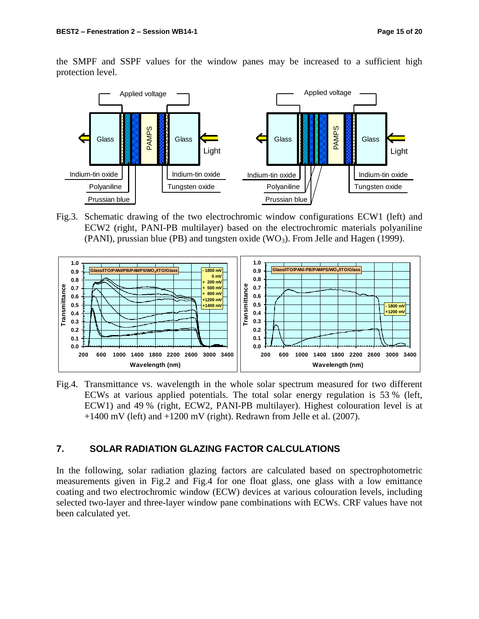the SMPF and SSPF values for the window panes may be increased to a sufficient high protection level.



Fig.3. Schematic drawing of the two electrochromic window configurations ECW1 (left) and ECW2 (right, PANI-PB multilayer) based on the electrochromic materials polyaniline (PANI), prussian blue (PB) and tungsten oxide (WO<sub>3</sub>). From Jelle and Hagen (1999).



Fig.4. Transmittance vs. wavelength in the whole solar spectrum measured for two different ECWs at various applied potentials. The total solar energy regulation is 53 % (left, ECW1) and 49 % (right, ECW2, PANI-PB multilayer). Highest colouration level is at  $+1400$  mV (left) and  $+1200$  mV (right). Redrawn from Jelle et al. (2007).

#### **7. SOLAR RADIATION GLAZING FACTOR CALCULATIONS**

In the following, solar radiation glazing factors are calculated based on spectrophotometric measurements given in Fig.2 and Fig.4 for one float glass, one glass with a low emittance coating and two electrochromic window (ECW) devices at various colouration levels, including selected two-layer and three-layer window pane combinations with ECWs. CRF values have not been calculated yet.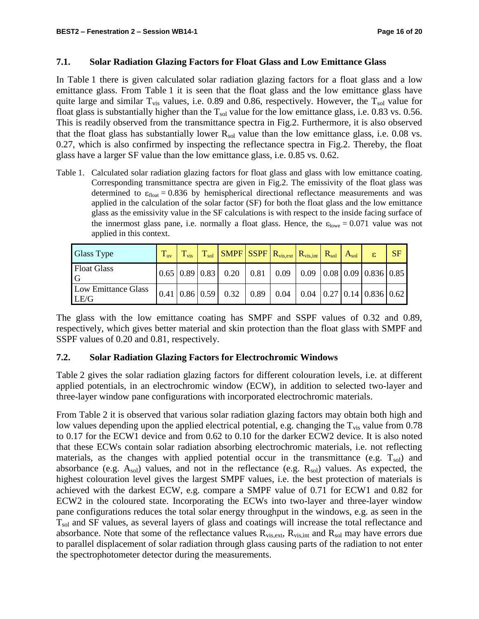#### **7.1. Solar Radiation Glazing Factors for Float Glass and Low Emittance Glass**

In Table 1 there is given calculated solar radiation glazing factors for a float glass and a low emittance glass. From Table 1 it is seen that the float glass and the low emittance glass have quite large and similar  $T_{vis}$  values, i.e. 0.89 and 0.86, respectively. However, the  $T_{sol}$  value for float glass is substantially higher than the  $T_{sol}$  value for the low emittance glass, i.e. 0.83 vs. 0.56. This is readily observed from the transmittance spectra in Fig.2. Furthermore, it is also observed that the float glass has substantially lower  $R_{sol}$  value than the low emittance glass, i.e. 0.08 vs. 0.27, which is also confirmed by inspecting the reflectance spectra in Fig.2. Thereby, the float glass have a larger SF value than the low emittance glass, i.e. 0.85 vs. 0.62.

Table 1. Calculated solar radiation glazing factors for float glass and glass with low emittance coating. Corresponding transmittance spectra are given in Fig.2. The emissivity of the float glass was determined to  $\varepsilon_{\text{float}} = 0.836$  by hemispherical directional reflectance measurements and was applied in the calculation of the solar factor (SF) for both the float glass and the low emittance glass as the emissivity value in the SF calculations is with respect to the inside facing surface of the innermost glass pane, i.e. normally a float glass. Hence, the  $\varepsilon_{\text{lowe}} = 0.071$  value was not applied in this context.

| Glass Type                  | $T_{uv}$ | $T_{\rm vis}$ | $\mid$ T <sub>sol</sub> SMPF SSPF $ R_{vis,ext} $ $R_{vis,int}$ $ $ $R_{sol} $ $A_{sol} $                        |  |  |  | <b>SF</b> |
|-----------------------------|----------|---------------|------------------------------------------------------------------------------------------------------------------|--|--|--|-----------|
| Float Glass                 |          |               | $0.65 \mid 0.89 \mid 0.83 \mid 0.20 \mid 0.81 \mid 0.09 \mid 0.09 \mid 0.08 \mid 0.09 \mid 0.836 \mid 0.85 \mid$ |  |  |  |           |
| Low Emittance Glass<br>LE/G |          |               | $(0.41 \ 0.86 \ 0.59 \ 0.32 \ 0.89 \ 0.04 \ 0.04 \ 0.27 \ 0.14 \ 0.836 \ 0.62)$                                  |  |  |  |           |

The glass with the low emittance coating has SMPF and SSPF values of 0.32 and 0.89, respectively, which gives better material and skin protection than the float glass with SMPF and SSPF values of 0.20 and 0.81, respectively.

## **7.2. Solar Radiation Glazing Factors for Electrochromic Windows**

Table 2 gives the solar radiation glazing factors for different colouration levels, i.e. at different applied potentials, in an electrochromic window (ECW), in addition to selected two-layer and three-layer window pane configurations with incorporated electrochromic materials.

From Table 2 it is observed that various solar radiation glazing factors may obtain both high and low values depending upon the applied electrical potential, e.g. changing the  $T_{vis}$  value from 0.78 to 0.17 for the ECW1 device and from 0.62 to 0.10 for the darker ECW2 device. It is also noted that these ECWs contain solar radiation absorbing electrochromic materials, i.e. not reflecting materials, as the changes with applied potential occur in the transmittance (e.g.  $T_{sol}$ ) and absorbance (e.g.  $A_{sol}$ ) values, and not in the reflectance (e.g.  $R_{sol}$ ) values. As expected, the highest colouration level gives the largest SMPF values, i.e. the best protection of materials is achieved with the darkest ECW, e.g. compare a SMPF value of 0.71 for ECW1 and 0.82 for ECW2 in the coloured state. Incorporating the ECWs into two-layer and three-layer window pane configurations reduces the total solar energy throughput in the windows, e.g. as seen in the T<sub>sol</sub> and SF values, as several layers of glass and coatings will increase the total reflectance and absorbance. Note that some of the reflectance values  $R_{vis,ext}$ ,  $R_{vis,int}$  and  $R_{sol}$  may have errors due to parallel displacement of solar radiation through glass causing parts of the radiation to not enter the spectrophotometer detector during the measurements.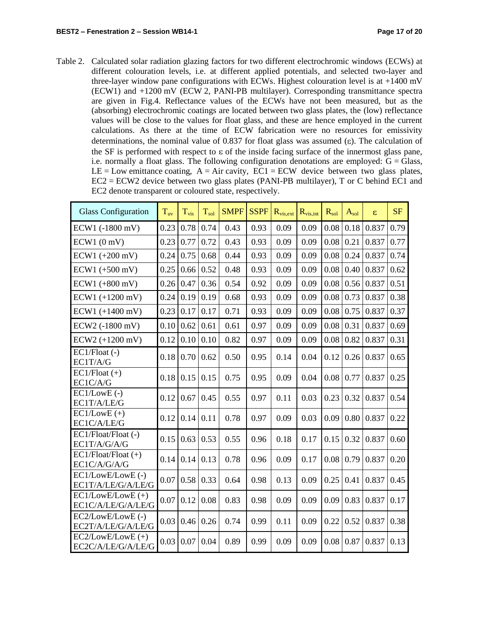Table 2. Calculated solar radiation glazing factors for two different electrochromic windows (ECWs) at different colouration levels, i.e. at different applied potentials, and selected two-layer and three-layer window pane configurations with ECWs. Highest colouration level is at  $+1400$  mV (ECW1) and +1200 mV (ECW 2, PANI-PB multilayer). Corresponding transmittance spectra are given in Fig.4. Reflectance values of the ECWs have not been measured, but as the (absorbing) electrochromic coatings are located between two glass plates, the (low) reflectance values will be close to the values for float glass, and these are hence employed in the current calculations. As there at the time of ECW fabrication were no resources for emissivity determinations, the nominal value of 0.837 for float glass was assumed ( $\varepsilon$ ). The calculation of the SF is performed with respect to  $\varepsilon$  of the inside facing surface of the innermost glass pane, i.e. normally a float glass. The following configuration denotations are employed:  $G = Glass$ , LE = Low emittance coating,  $A = Air cavity$ ,  $EC1 = ECW$  device between two glass plates, EC2 = ECW2 device between two glass plates (PANI-PB multilayer), T or C behind EC1 and EC2 denote transparent or coloured state, respectively.

| <b>Glass Configuration</b>                | $T_{uv}$ | $T_{\rm vis}$ | $T_{sol}$ | <b>SMPF</b> | <b>SSPF</b> | $R_{vis,ext}$ | $R_{vis,int}$ | $R_{sol}$ | $A_{sol}$ | ε     | <b>SF</b> |
|-------------------------------------------|----------|---------------|-----------|-------------|-------------|---------------|---------------|-----------|-----------|-------|-----------|
| ECW1 (-1800 mV)                           | 0.23     | 0.78          | 0.74      | 0.43        | 0.93        | 0.09          | 0.09          | 0.08      | 0.18      | 0.837 | 0.79      |
| ECW1(0 mV)                                | 0.23     | 0.77          | 0.72      | 0.43        | 0.93        | 0.09          | 0.09          | 0.08      | 0.21      | 0.837 | 0.77      |
| $ECW1 (+200 mV)$                          | 0.24     | 0.75          | 0.68      | 0.44        | 0.93        | 0.09          | 0.09          | 0.08      | 0.24      | 0.837 | 0.74      |
| $ECW1 (+500 mV)$                          | 0.25     | 0.66          | 0.52      | 0.48        | 0.93        | 0.09          | 0.09          | 0.08      | 0.40      | 0.837 | 0.62      |
| $ECW1 (+800 mV)$                          | 0.26     | 0.47          | 0.36      | 0.54        | 0.92        | 0.09          | 0.09          | 0.08      | 0.56      | 0.837 | 0.51      |
| $ECW1 (+1200 mV)$                         | 0.24     | 0.19          | 0.19      | 0.68        | 0.93        | 0.09          | 0.09          | 0.08      | 0.73      | 0.837 | 0.38      |
| $ECW1 (+1400 mV)$                         | 0.23     | 0.17          | 0.17      | 0.71        | 0.93        | 0.09          | 0.09          | 0.08      | 0.75      | 0.837 | 0.37      |
| ECW2 (-1800 mV)                           | 0.10     | 0.62          | 0.61      | 0.61        | 0.97        | 0.09          | 0.09          | 0.08      | 0.31      | 0.837 | 0.69      |
| $ECW2 (+1200 mV)$                         | 0.12     | 0.10          | 0.10      | 0.82        | 0.97        | 0.09          | 0.09          | 0.08      | 0.82      | 0.837 | 0.31      |
| EC1/Float (-)<br>EC1T/A/G                 | 0.18     | 0.70          | 0.62      | 0.50        | 0.95        | 0.14          | 0.04          | 0.12      | 0.26      | 0.837 | 0.65      |
| $EC1$ /Float $(+)$<br>EC1C/A/G            | 0.18     | 0.15          | 0.15      | 0.75        | 0.95        | 0.09          | 0.04          | 0.08      | 0.77      | 0.837 | 0.25      |
| $EC1/LowE$ (-)<br>EC1T/A/LE/G             | 0.12     | 0.67          | 0.45      | 0.55        | 0.97        | 0.11          | 0.03          | 0.23      | 0.32      | 0.837 | 0.54      |
| $EC1/LowE (+)$<br>EC1C/A/LE/G             | 0.12     | 0.14          | 0.11      | 0.78        | 0.97        | 0.09          | 0.03          | 0.09      | 0.80      | 0.837 | 0.22      |
| EC1/Float/Float (-)<br>EC1T/A/G/A/G       | 0.15     | 0.63          | 0.53      | 0.55        | 0.96        | 0.18          | 0.17          | 0.15      | 0.32      | 0.837 | 0.60      |
| $EC1/Float/Float (+)$<br>EC1C/A/G/A/G     | 0.14     | 0.14          | 0.13      | 0.78        | 0.96        | 0.09          | 0.17          | 0.08      | 0.79      | 0.837 | 0.20      |
| EC1/LowE/LowE (-)<br>EC1T/A/LE/G/A/LE/G   | 0.07     | 0.58          | 0.33      | 0.64        | 0.98        | 0.13          | 0.09          | 0.25      | 0.41      | 0.837 | 0.45      |
| $EC1/LowE/LowE (+)$<br>EC1C/A/LE/G/A/LE/G | 0.07     | 0.12          | 0.08      | 0.83        | 0.98        | 0.09          | 0.09          | 0.09      | 0.83      | 0.837 | 0.17      |
| EC2/LowE/LowE (-)<br>EC2T/A/LE/G/A/LE/G   | 0.03     | 0.46          | 0.26      | 0.74        | 0.99        | 0.11          | 0.09          | 0.22      | 0.52      | 0.837 | 0.38      |
| $EC2/LowE/LowE (+)$<br>EC2C/A/LE/G/A/LE/G | 0.03     | 0.07          | 0.04      | 0.89        | 0.99        | 0.09          | 0.09          | 0.08      | 0.87      | 0.837 | 0.13      |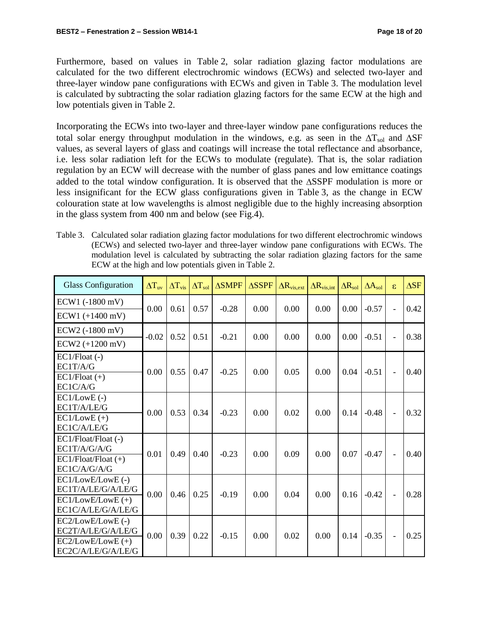Furthermore, based on values in Table 2, solar radiation glazing factor modulations are calculated for the two different electrochromic windows (ECWs) and selected two-layer and three-layer window pane configurations with ECWs and given in Table 3. The modulation level is calculated by subtracting the solar radiation glazing factors for the same ECW at the high and low potentials given in Table 2.

Incorporating the ECWs into two-layer and three-layer window pane configurations reduces the total solar energy throughput modulation in the windows, e.g. as seen in the  $\Delta T_{sol}$  and  $\Delta SF$ values, as several layers of glass and coatings will increase the total reflectance and absorbance, i.e. less solar radiation left for the ECWs to modulate (regulate). That is, the solar radiation regulation by an ECW will decrease with the number of glass panes and low emittance coatings added to the total window configuration. It is observed that the SSPF modulation is more or less insignificant for the ECW glass configurations given in Table 3, as the change in ECW colouration state at low wavelengths is almost negligible due to the highly increasing absorption in the glass system from 400 nm and below (see Fig.4).

| Table 3. Calculated solar radiation glazing factor modulations for two different electrochromic windows |
|---------------------------------------------------------------------------------------------------------|
| (ECWs) and selected two-layer and three-layer window pane configurations with ECWs. The                 |
| modulation level is calculated by subtracting the solar radiation glazing factors for the same          |
| ECW at the high and low potentials given in Table 2.                                                    |

| <b>Glass Configuration</b>                                                           | $\Delta T_{\text{uv}}$ | $\Delta T_{\rm vis}$ | $\Delta T_{sol}$ | $\triangle$ SMPF | $\triangle$ SSPF | $\Delta R_{vis,ext}$ | $\Delta R_{\rm vis,int}$ | $\Delta \overline{\mathrm{R}}_{\mathrm{sol}}$ | $\Delta A_{sol}$ | $\varepsilon$            | $\Delta$ SF |
|--------------------------------------------------------------------------------------|------------------------|----------------------|------------------|------------------|------------------|----------------------|--------------------------|-----------------------------------------------|------------------|--------------------------|-------------|
| ECW1 (-1800 mV)                                                                      | 0.00                   | 0.61                 | 0.57             | $-0.28$          | 0.00             | 0.00                 | 0.00                     | 0.00                                          | $-0.57$          | $\overline{a}$           | 0.42        |
| $ECW1 (+1400 mV)$                                                                    |                        |                      |                  |                  |                  |                      |                          |                                               |                  |                          |             |
| ECW2 (-1800 mV)                                                                      | $-0.02$                | 0.52                 | 0.51             | $-0.21$          | 0.00             | 0.00                 | 0.00                     | 0.00                                          | $-0.51$          | $\overline{\phantom{a}}$ | 0.38        |
| ECW2 (+1200 mV)                                                                      |                        |                      |                  |                  |                  |                      |                          |                                               |                  |                          |             |
| $EC1/Float$ (-)<br>EC1T/A/G<br>$EC1$ /Float $(+)$<br>EC1C/A/G                        | 0.00                   | 0.55                 | 0.47             | $-0.25$          | 0.00             | 0.05                 | 0.00                     | 0.04                                          | $-0.51$          | $\frac{1}{2}$            | 0.40        |
| $EC1/LowE$ (-)<br>EC1T/A/LE/G<br>$EC1/LowE (+)$<br>EC1C/A/LE/G                       | 0.00                   | 0.53                 | 0.34             | $-0.23$          | 0.00             | 0.02                 | 0.00                     | 0.14                                          | $-0.48$          | $\overline{\phantom{a}}$ | 0.32        |
| $EC1/Float/Float$ (-)<br>EC1T/A/G/A/G<br>$EC1/Float/Float (+)$<br>EC1C/A/G/A/G       | 0.01                   | 0.49                 | 0.40             | $-0.23$          | 0.00             | 0.09                 | 0.00                     | 0.07                                          | $-0.47$          | $\overline{\phantom{a}}$ | 0.40        |
| EC1/LowE/LowE (-)<br>EC1T/A/LE/G/A/LE/G<br>$EC1/LowE/LowE (+)$<br>EC1C/A/LE/G/A/LE/G | 0.00                   | 0.46                 | 0.25             | $-0.19$          | 0.00             | 0.04                 | 0.00                     | 0.16                                          | $-0.42$          | $\overline{\phantom{a}}$ | 0.28        |
| EC2/LowE/LowE (-)<br>EC2T/A/LE/G/A/LE/G<br>$EC2/LowE/LowE (+)$<br>EC2C/A/LE/G/A/LE/G | 0.00                   | 0.39                 | 0.22             | $-0.15$          | 0.00             | 0.02                 | 0.00                     | 0.14                                          | $-0.35$          | $\blacksquare$           | 0.25        |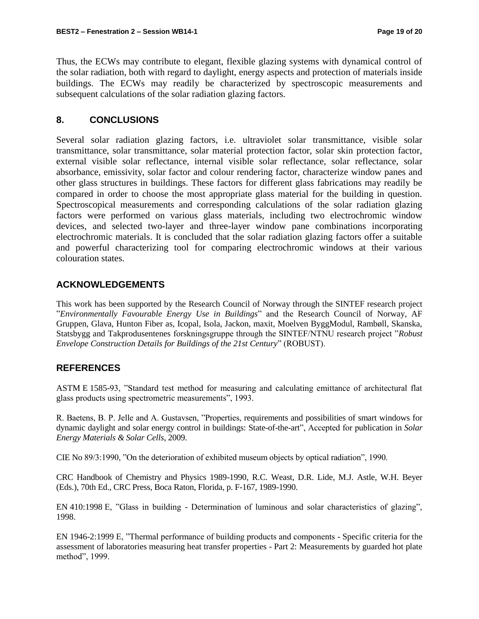Thus, the ECWs may contribute to elegant, flexible glazing systems with dynamical control of the solar radiation, both with regard to daylight, energy aspects and protection of materials inside buildings. The ECWs may readily be characterized by spectroscopic measurements and subsequent calculations of the solar radiation glazing factors.

## **8. CONCLUSIONS**

Several solar radiation glazing factors, i.e. ultraviolet solar transmittance, visible solar transmittance, solar transmittance, solar material protection factor, solar skin protection factor, external visible solar reflectance, internal visible solar reflectance, solar reflectance, solar absorbance, emissivity, solar factor and colour rendering factor, characterize window panes and other glass structures in buildings. These factors for different glass fabrications may readily be compared in order to choose the most appropriate glass material for the building in question. Spectroscopical measurements and corresponding calculations of the solar radiation glazing factors were performed on various glass materials, including two electrochromic window devices, and selected two-layer and three-layer window pane combinations incorporating electrochromic materials. It is concluded that the solar radiation glazing factors offer a suitable and powerful characterizing tool for comparing electrochromic windows at their various colouration states.

## **ACKNOWLEDGEMENTS**

This work has been supported by the Research Council of Norway through the SINTEF research project "*Environmentally Favourable Energy Use in Buildings*" and the Research Council of Norway, AF Gruppen, Glava, Hunton Fiber as, Icopal, Isola, Jackon, maxit, Moelven ByggModul, Rambøll, Skanska, Statsbygg and Takprodusentenes forskningsgruppe through the SINTEF/NTNU research project "*Robust Envelope Construction Details for Buildings of the 21st Century*" (ROBUST).

## **REFERENCES**

ASTM E 1585-93, "Standard test method for measuring and calculating emittance of architectural flat glass products using spectrometric measurements", 1993.

R. Baetens, B. P. Jelle and A. Gustavsen, "Properties, requirements and possibilities of smart windows for dynamic daylight and solar energy control in buildings: State-of-the-art", Accepted for publication in *Solar Energy Materials & Solar Cells*, 2009.

CIE No 89/3:1990, "On the deterioration of exhibited museum objects by optical radiation", 1990.

CRC Handbook of Chemistry and Physics 1989-1990, R.C. Weast, D.R. Lide, M.J. Astle, W.H. Beyer (Eds.), 70th Ed., CRC Press, Boca Raton, Florida, p. F-167, 1989-1990.

EN 410:1998 E, "Glass in building - Determination of luminous and solar characteristics of glazing", 1998.

EN 1946-2:1999 E, "Thermal performance of building products and components - Specific criteria for the assessment of laboratories measuring heat transfer properties - Part 2: Measurements by guarded hot plate method", 1999.